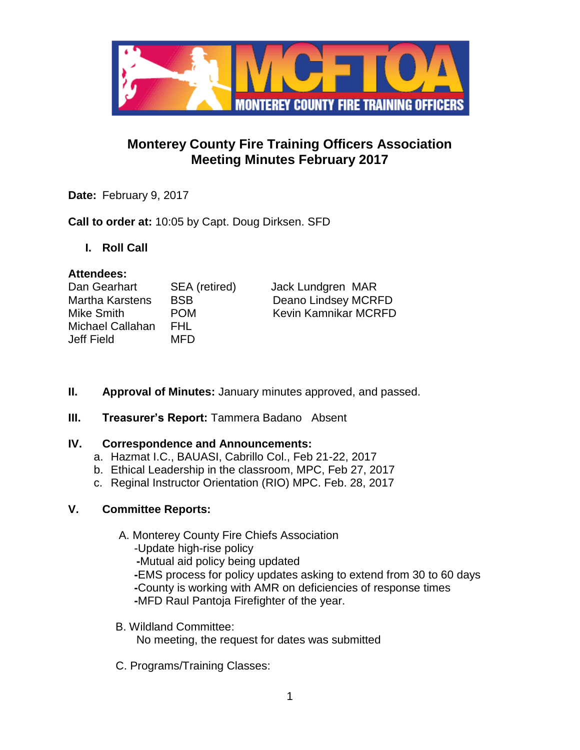

# **Monterey County Fire Training Officers Association Meeting Minutes February 2017**

**Date:** February 9, 2017

**Call to order at:** 10:05 by Capt. Doug Dirksen. SFD

**I. Roll Call**

# **Attendees:**

| Dan Gearhart     | SEA (retired) | Jack Lundgren MAR           |
|------------------|---------------|-----------------------------|
| Martha Karstens  | <b>BSB</b>    | Deano Lindsey MCRFD         |
| Mike Smith       | <b>POM</b>    | <b>Kevin Kamnikar MCRFD</b> |
| Michael Callahan | FHL.          |                             |
| Jeff Field       | MFD.          |                             |

- **II. Approval of Minutes:** January minutes approved, and passed.
- **III.** Treasurer's Report: Tammera Badano Absent

# **IV. Correspondence and Announcements:**

- a. Hazmat I.C., BAUASI, Cabrillo Col., Feb 21-22, 2017
- b. Ethical Leadership in the classroom, MPC, Feb 27, 2017
- c. Reginal Instructor Orientation (RIO) MPC. Feb. 28, 2017

# **V. Committee Reports:**

- A. Monterey County Fire Chiefs Association
	- -Update high-rise policy
	- **-**Mutual aid policy being updated
	- **-**EMS process for policy updates asking to extend from 30 to 60 days  **-**County is working with AMR on deficiencies of response times  **-**MFD Raul Pantoja Firefighter of the year.
- B. Wildland Committee: No meeting, the request for dates was submitted
- C. Programs/Training Classes: